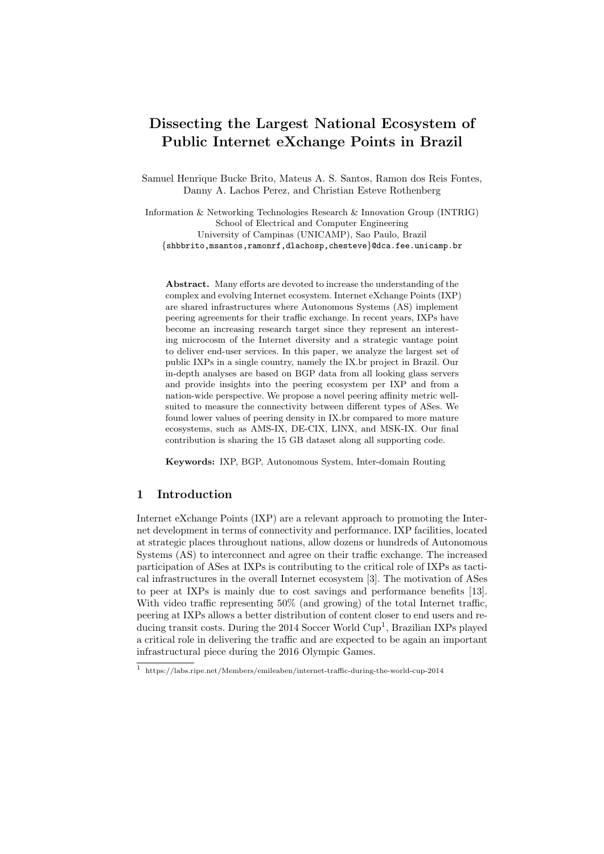# Dissecting the Largest National Ecosystem of Public Internet eXchange Points in Brazil

Samuel Henrique Bucke Brito, Mateus A. S. Santos, Ramon dos Reis Fontes, Danny A. Lachos Perez, and Christian Esteve Rothenberg

Information & Networking Technologies Research & Innovation Group (INTRIG) School of Electrical and Computer Engineering University of Campinas (UNICAMP), Sao Paulo, Brazil {shbbrito,msantos,ramonrf,dlachosp,chesteve}@dca.fee.unicamp.br

Abstract. Many efforts are devoted to increase the understanding of the complex and evolving Internet ecosystem. Internet eXchange Points (IXP) are shared infrastructures where Autonomous Systems (AS) implement peering agreements for their traffic exchange. In recent years, IXPs have become an increasing research target since they represent an interesting microcosm of the Internet diversity and a strategic vantage point to deliver end-user services. In this paper, we analyze the largest set of public IXPs in a single country, namely the IX.br project in Brazil. Our in-depth analyses are based on BGP data from all looking glass servers and provide insights into the peering ecosystem per IXP and from a nation-wide perspective. We propose a novel peering affinity metric wellsuited to measure the connectivity between different types of ASes. We found lower values of peering density in IX.br compared to more mature ecosystems, such as AMS-IX, DE-CIX, LINX, and MSK-IX. Our final contribution is sharing the 15 GB dataset along all supporting code.

Keywords: IXP, BGP, Autonomous System, Inter-domain Routing

# 1 Introduction

Internet eXchange Points (IXP) are a relevant approach to promoting the Internet development in terms of connectivity and performance. IXP facilities, located at strategic places throughout nations, allow dozens or hundreds of Autonomous Systems (AS) to interconnect and agree on their traffic exchange. The increased participation of ASes at IXPs is contributing to the critical role of IXPs as tactical infrastructures in the overall Internet ecosystem [3]. The motivation of ASes to peer at IXPs is mainly due to cost savings and performance benefits [13]. With video traffic representing 50% (and growing) of the total Internet traffic, peering at IXPs allows a better distribution of content closer to end users and reducing transit costs. During the 2014 Soccer World Cup<sup>1</sup>, Brazilian IXPs played a critical role in delivering the traffic and are expected to be again an important infrastructural piece during the 2016 Olympic Games.

<sup>1</sup> https://labs.ripe.net/Members/emileaben/internet-traffic-during-the-world-cup-2014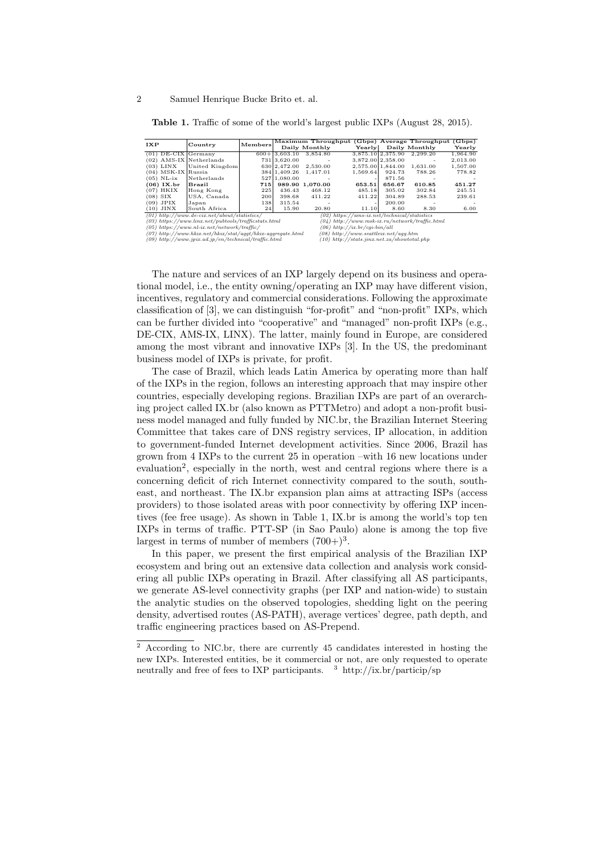|                                                        | Country                                                       |                 | Maximum Throughput (Gbps) Average Throughput ( |                          |                                                  |                   |               | (Gbps)   |  |  |  |
|--------------------------------------------------------|---------------------------------------------------------------|-----------------|------------------------------------------------|--------------------------|--------------------------------------------------|-------------------|---------------|----------|--|--|--|
| IXP                                                    |                                                               | Members         |                                                | Daily Monthly            | Yearly                                           |                   | Daily Monthly | Yearly   |  |  |  |
| $(01)$ DE-CIX Germany                                  |                                                               |                 | $600 + 3.603.10$                               | 3.854.80                 |                                                  | 3,875.10 2,375.90 | 2.299.20      | 1.964.90 |  |  |  |
| $(02)$ AMS-IX Netherlands                              |                                                               |                 | 731 3.620.00                                   |                          |                                                  | 3.872.00 2.358.00 |               | 2,013.00 |  |  |  |
| $(03)$ LINX                                            | United Kingdom                                                |                 | 630 2.472.00                                   | 2.530.00                 |                                                  | 2.575.00 1.844.00 | 1.631.00      | 1,507.00 |  |  |  |
| $(04)$ MSK-IX Russia                                   |                                                               |                 | 384 1.409.26                                   | 1.417.01                 | 1.569.64                                         | 924.73            | 788.26        | 778.82   |  |  |  |
| $(05)$ NL-ix                                           | Netherlands                                                   |                 | 527 1.080.00                                   | $\overline{\phantom{a}}$ |                                                  | 871.56            |               |          |  |  |  |
| $(06)$ IX.br                                           | Brazil                                                        | 715             |                                                | 989.90 1.070.00          | 653.51                                           | 656.67            | 610.85        | 451.27   |  |  |  |
| $(07)$ HKIX                                            | Hong Kong                                                     | 225             | 436.43                                         | 468.12                   | 485.18                                           | 305.02            | 302.84        | 245.51   |  |  |  |
| $(08)$ SIX                                             | USA, Canada                                                   | 200             | 398.68                                         | 411.22                   | 411.22                                           | 304.89            | 288.53        | 239.61   |  |  |  |
| $(09)$ JPIX                                            | Japan                                                         | 138             | 315.54                                         |                          |                                                  | 200.00            |               |          |  |  |  |
| $(10)$ JINX                                            | South Africa                                                  | 24 <sub>1</sub> | 15.90                                          | 20.80                    | 11.10                                            | 8.60              | 8.30          | 6.00     |  |  |  |
|                                                        | $(01)$ http://www.de-cix.net/about/statistics/                |                 |                                                | (02)                     | $https://ams-ix.net/technical/statistics$        |                   |               |          |  |  |  |
| $(03)$ https://www.linx.net/pubtools/trafficstats.html |                                                               |                 |                                                |                          | $(04)$ http://www.msk-ix.ru/network/traffic.html |                   |               |          |  |  |  |
| $(05)$ https://www.nl-ix.net/network/traffic/          |                                                               |                 |                                                |                          | $(06)$ http://ix.br/cqi-bin/all                  |                   |               |          |  |  |  |
|                                                        | $(07)$ http://www.hkix.net/hkix/stat/aqqt/hkix-aqqreqate.html |                 |                                                |                          | $(08)$ http://www.seattleix.net/aqq.htm          |                   |               |          |  |  |  |
| (09) http://www.jpix.ad.jp/en/technical/traffic.html   |                                                               |                 |                                                |                          | $(10)$ http://stats.jinx.net.za/showtotal.php    |                   |               |          |  |  |  |

Table 1. Traffic of some of the world's largest public IXPs (August 28, 2015).

The nature and services of an IXP largely depend on its business and operational model, i.e., the entity owning/operating an IXP may have different vision, incentives, regulatory and commercial considerations. Following the approximate classification of [3], we can distinguish "for-profit" and "non-profit" IXPs, which can be further divided into "cooperative" and "managed" non-profit IXPs (e.g., DE-CIX, AMS-IX, LINX). The latter, mainly found in Europe, are considered among the most vibrant and innovative IXPs [3]. In the US, the predominant business model of IXPs is private, for profit.

The case of Brazil, which leads Latin America by operating more than half of the IXPs in the region, follows an interesting approach that may inspire other countries, especially developing regions. Brazilian IXPs are part of an overarching project called IX.br (also known as PTTMetro) and adopt a non-profit business model managed and fully funded by NIC.br, the Brazilian Internet Steering Committee that takes care of DNS registry services, IP allocation, in addition to government-funded Internet development activities. Since 2006, Brazil has grown from 4 IXPs to the current 25 in operation –with 16 new locations under evaluation<sup>2</sup>, especially in the north, west and central regions where there is a concerning deficit of rich Internet connectivity compared to the south, southeast, and northeast. The IX.br expansion plan aims at attracting ISPs (access providers) to those isolated areas with poor connectivity by offering IXP incentives (fee free usage). As shown in Table 1, IX.br is among the world's top ten IXPs in terms of traffic. PTT-SP (in Sao Paulo) alone is among the top five largest in terms of number of members  $(700+)$ <sup>3</sup>.

In this paper, we present the first empirical analysis of the Brazilian IXP ecosystem and bring out an extensive data collection and analysis work considering all public IXPs operating in Brazil. After classifying all AS participants, we generate AS-level connectivity graphs (per IXP and nation-wide) to sustain the analytic studies on the observed topologies, shedding light on the peering density, advertised routes (AS-PATH), average vertices' degree, path depth, and traffic engineering practices based on AS-Prepend.

<sup>&</sup>lt;sup>2</sup> According to NIC.br, there are currently 45 candidates interested in hosting the new IXPs. Interested entities, be it commercial or not, are only requested to operate neutrally and free of fees to IXP participants.  $\frac{3 \text{ http://ix.br/particip/sp}}{2}$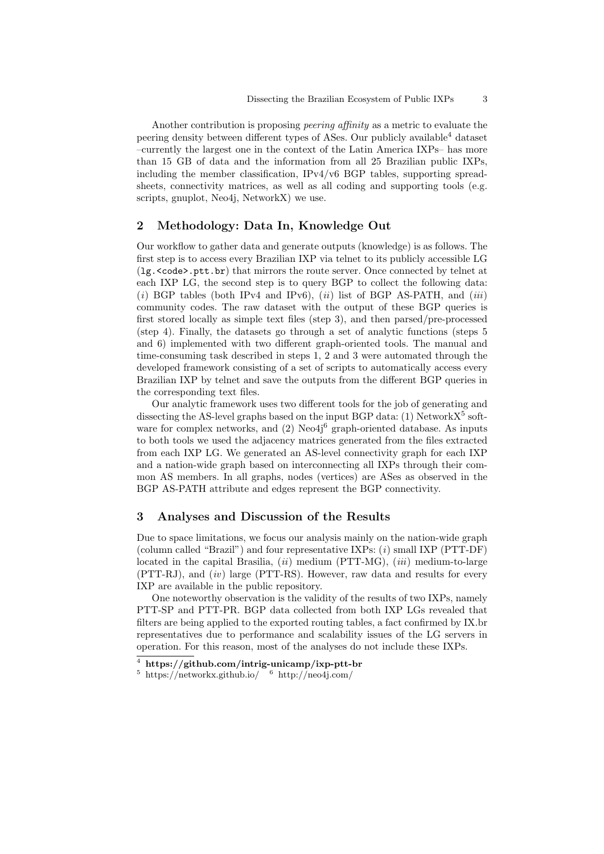Another contribution is proposing peering affinity as a metric to evaluate the peering density between different types of ASes. Our publicly available<sup>4</sup> dataset –currently the largest one in the context of the Latin America IXPs– has more than 15 GB of data and the information from all 25 Brazilian public IXPs, including the member classification,  $IPv4/v6$  BGP tables, supporting spreadsheets, connectivity matrices, as well as all coding and supporting tools (e.g. scripts, gnuplot, Neo4j, NetworkX) we use.

# 2 Methodology: Data In, Knowledge Out

Our workflow to gather data and generate outputs (knowledge) is as follows. The first step is to access every Brazilian IXP via telnet to its publicly accessible LG (1g. <code>.ptt.br) that mirrors the route server. Once connected by telnet at each IXP LG, the second step is to query BGP to collect the following data: (i) BGP tables (both IPv4 and IPv6),  $(ii)$  list of BGP AS-PATH, and  $(iii)$ community codes. The raw dataset with the output of these BGP queries is first stored locally as simple text files (step 3), and then parsed/pre-processed (step 4). Finally, the datasets go through a set of analytic functions (steps 5 and 6) implemented with two different graph-oriented tools. The manual and time-consuming task described in steps 1, 2 and 3 were automated through the developed framework consisting of a set of scripts to automatically access every Brazilian IXP by telnet and save the outputs from the different BGP queries in the corresponding text files.

Our analytic framework uses two different tools for the job of generating and dissecting the AS-level graphs based on the input BGP data: (1) Network $X^5$  software for complex networks, and  $(2)$  Neo $4j<sup>6</sup>$  graph-oriented database. As inputs to both tools we used the adjacency matrices generated from the files extracted from each IXP LG. We generated an AS-level connectivity graph for each IXP and a nation-wide graph based on interconnecting all IXPs through their common AS members. In all graphs, nodes (vertices) are ASes as observed in the BGP AS-PATH attribute and edges represent the BGP connectivity.

# 3 Analyses and Discussion of the Results

Due to space limitations, we focus our analysis mainly on the nation-wide graph (column called "Brazil") and four representative IXPs: (i) small IXP (PTT-DF) located in the capital Brasilia,  $(ii)$  medium (PTT-MG),  $(iii)$  medium-to-large  $(PTT-RJ)$ , and  $(iv)$  large  $(PTT-RS)$ . However, raw data and results for every IXP are available in the public repository.

One noteworthy observation is the validity of the results of two IXPs, namely PTT-SP and PTT-PR. BGP data collected from both IXP LGs revealed that filters are being applied to the exported routing tables, a fact confirmed by IX.br representatives due to performance and scalability issues of the LG servers in operation. For this reason, most of the analyses do not include these IXPs.

 $\frac{4 \text{ https://github.com/intrig-unicamp/ixp-ptt-br}}{4}$ 

 $5 \text{ https://networkx.github.io/} \quad 6 \text{ http://neo4j.com/}$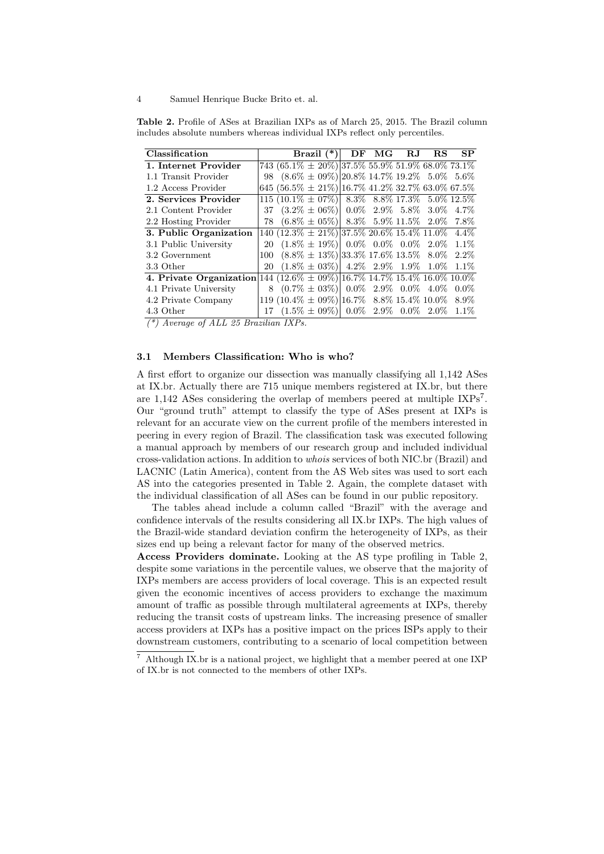| Classification                                                              |  | Brazil $(*)$ DF MG RJ RS                                 |  |  | SP |
|-----------------------------------------------------------------------------|--|----------------------------------------------------------|--|--|----|
| 1. Internet Provider                                                        |  | $743 (65.1\% \pm 20\%)$ 37.5% 55.9% 51.9% 68.0% 73.1%    |  |  |    |
| 1.1 Transit Provider                                                        |  | 98 $(8.6\% \pm 0.9\%)$ 20.8\% 14.7\% 19.2\% 5.0\% 5.6\%  |  |  |    |
| 1.2 Access Provider                                                         |  | 645 $(56.5\% \pm 21\%)$ 16.7% 41.2% 32.7% 63.0% 67.5%    |  |  |    |
| 2. Services Provider                                                        |  | $115 (10.1\% \pm 07\%)$ 8.3\% 8.8\% 17.3\% 5.0\% 12.5\%  |  |  |    |
| 2.1 Content Provider                                                        |  | 37 $(3.2\% \pm 06\%)$ 0.0% 2.9% 5.8% 3.0% 4.7%           |  |  |    |
| 2.2 Hosting Provider                                                        |  | 78 $(6.8\% \pm 05\%)$ 8.3% 5.9% 11.5% 2.0% 7.8%          |  |  |    |
| 3. Public Organization                                                      |  | $140 (12.3\% \pm 21\%)$ 37.5% $20.6\%$ 15.4% 11.0% 4.4%  |  |  |    |
| 3.1 Public University                                                       |  | 20 $(1.8\% \pm 19\%)$ 0.0% 0.0% 0.0% 2.0% 1.1%           |  |  |    |
| 3.2 Government                                                              |  | 100 $(8.8\% \pm 13\%)$ 33.3\% 17.6\% 13.5\% 8.0\% 2.2\%  |  |  |    |
| 3.3 Other                                                                   |  | 20 $(1.8\% \pm 0.3\%)$ 4.2% 2.9% 1.9% 1.0% 1.1%          |  |  |    |
| 4. Private Organization 144 (12.6% $\pm$ 09%) 16.7% 14.7% 15.4% 16.0% 10.0% |  |                                                          |  |  |    |
| 4.1 Private University                                                      |  | 8 $(0.7\% \pm 0.3\%)$ 0.0\% 2.9\% 0.0\% 4.0\% 0.0\%      |  |  |    |
| 4.2 Private Company                                                         |  | 119 (10.4\% $\pm$ 09\%) 16.7\% 8.8\% 15.4\% 10.0\% 8.9\% |  |  |    |
| 4.3 Other                                                                   |  | 17 $(1.5\% \pm 0.9\%)$ 0.0% 2.9% 0.0% 2.0% 1.1%          |  |  |    |

Table 2. Profile of ASes at Brazilian IXPs as of March 25, 2015. The Brazil column includes absolute numbers whereas individual IXPs reflect only percentiles.

 $(*)$  Average of ALL 25 Brazilian IXPs.

#### 3.1 Members Classification: Who is who?

A first effort to organize our dissection was manually classifying all 1,142 ASes at IX.br. Actually there are 715 unique members registered at IX.br, but there are 1,142 ASes considering the overlap of members peered at multiple IXPs<sup>7</sup>. Our "ground truth" attempt to classify the type of ASes present at IXPs is relevant for an accurate view on the current profile of the members interested in peering in every region of Brazil. The classification task was executed following a manual approach by members of our research group and included individual cross-validation actions. In addition to whois services of both NIC.br (Brazil) and LACNIC (Latin America), content from the AS Web sites was used to sort each AS into the categories presented in Table 2. Again, the complete dataset with the individual classification of all ASes can be found in our public repository.

The tables ahead include a column called "Brazil" with the average and confidence intervals of the results considering all IX.br IXPs. The high values of the Brazil-wide standard deviation confirm the heterogeneity of IXPs, as their sizes end up being a relevant factor for many of the observed metrics.

Access Providers dominate. Looking at the AS type profiling in Table 2, despite some variations in the percentile values, we observe that the majority of IXPs members are access providers of local coverage. This is an expected result given the economic incentives of access providers to exchange the maximum amount of traffic as possible through multilateral agreements at IXPs, thereby reducing the transit costs of upstream links. The increasing presence of smaller access providers at IXPs has a positive impact on the prices ISPs apply to their downstream customers, contributing to a scenario of local competition between

<sup>7</sup> Although IX.br is a national project, we highlight that a member peered at one IXP of IX.br is not connected to the members of other IXPs.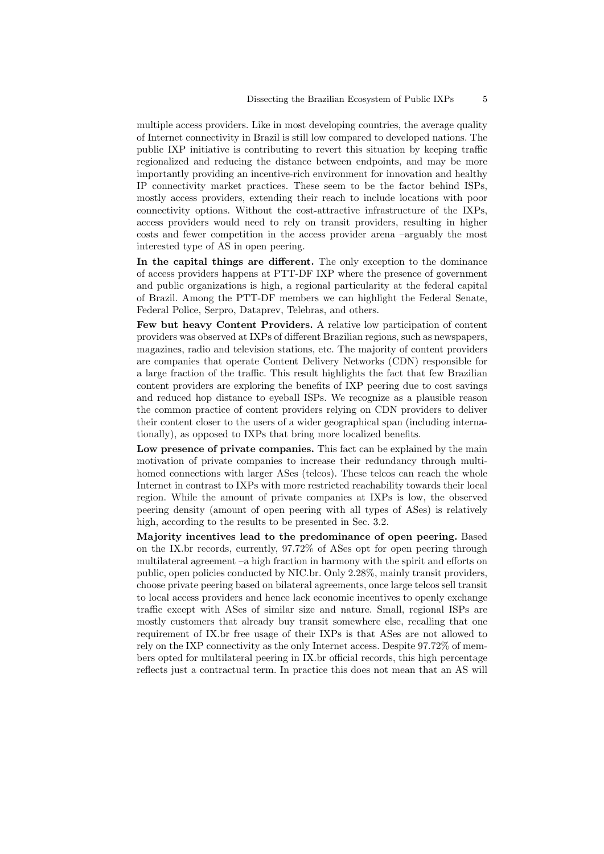multiple access providers. Like in most developing countries, the average quality of Internet connectivity in Brazil is still low compared to developed nations. The public IXP initiative is contributing to revert this situation by keeping traffic regionalized and reducing the distance between endpoints, and may be more importantly providing an incentive-rich environment for innovation and healthy IP connectivity market practices. These seem to be the factor behind ISPs, mostly access providers, extending their reach to include locations with poor connectivity options. Without the cost-attractive infrastructure of the IXPs, access providers would need to rely on transit providers, resulting in higher costs and fewer competition in the access provider arena –arguably the most interested type of AS in open peering.

In the capital things are different. The only exception to the dominance of access providers happens at PTT-DF IXP where the presence of government and public organizations is high, a regional particularity at the federal capital of Brazil. Among the PTT-DF members we can highlight the Federal Senate, Federal Police, Serpro, Dataprev, Telebras, and others.

Few but heavy Content Providers. A relative low participation of content providers was observed at IXPs of different Brazilian regions, such as newspapers, magazines, radio and television stations, etc. The majority of content providers are companies that operate Content Delivery Networks (CDN) responsible for a large fraction of the traffic. This result highlights the fact that few Brazilian content providers are exploring the benefits of IXP peering due to cost savings and reduced hop distance to eyeball ISPs. We recognize as a plausible reason the common practice of content providers relying on CDN providers to deliver their content closer to the users of a wider geographical span (including internationally), as opposed to IXPs that bring more localized benefits.

Low presence of private companies. This fact can be explained by the main motivation of private companies to increase their redundancy through multihomed connections with larger ASes (telcos). These telcos can reach the whole Internet in contrast to IXPs with more restricted reachability towards their local region. While the amount of private companies at IXPs is low, the observed peering density (amount of open peering with all types of ASes) is relatively high, according to the results to be presented in Sec. 3.2.

Majority incentives lead to the predominance of open peering. Based on the IX.br records, currently, 97.72% of ASes opt for open peering through multilateral agreement  $-a$  high fraction in harmony with the spirit and efforts on public, open policies conducted by NIC.br. Only 2.28%, mainly transit providers, choose private peering based on bilateral agreements, once large telcos sell transit to local access providers and hence lack economic incentives to openly exchange traffic except with ASes of similar size and nature. Small, regional ISPs are mostly customers that already buy transit somewhere else, recalling that one requirement of IX.br free usage of their IXPs is that ASes are not allowed to rely on the IXP connectivity as the only Internet access. Despite 97.72% of members opted for multilateral peering in IX.br official records, this high percentage reflects just a contractual term. In practice this does not mean that an AS will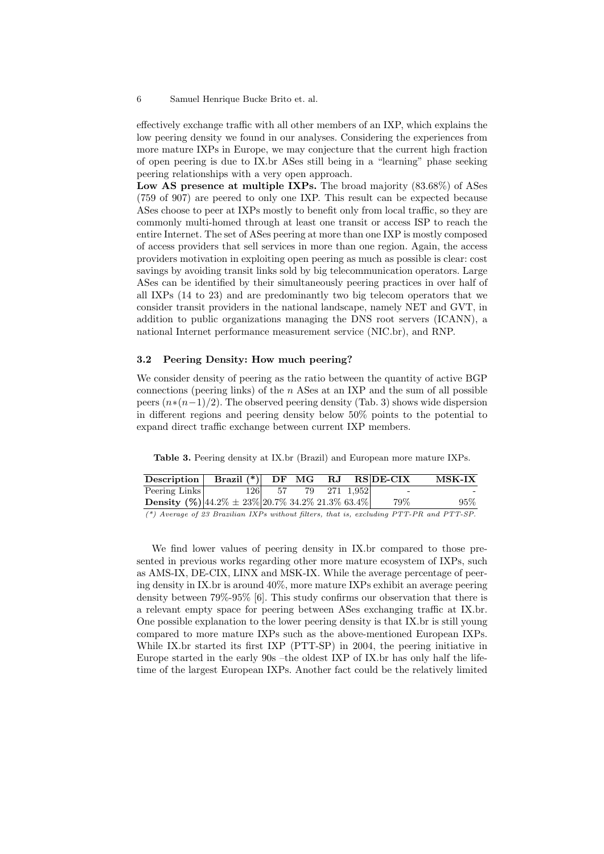effectively exchange traffic with all other members of an IXP, which explains the low peering density we found in our analyses. Considering the experiences from more mature IXPs in Europe, we may conjecture that the current high fraction of open peering is due to IX.br ASes still being in a "learning" phase seeking peering relationships with a very open approach.

Low AS presence at multiple IXPs. The broad majority (83.68%) of ASes (759 of 907) are peered to only one IXP. This result can be expected because ASes choose to peer at IXPs mostly to benefit only from local traffic, so they are commonly multi-homed through at least one transit or access ISP to reach the entire Internet. The set of ASes peering at more than one IXP is mostly composed of access providers that sell services in more than one region. Again, the access providers motivation in exploiting open peering as much as possible is clear: cost savings by avoiding transit links sold by big telecommunication operators. Large ASes can be identified by their simultaneously peering practices in over half of all IXPs (14 to 23) and are predominantly two big telecom operators that we consider transit providers in the national landscape, namely NET and GVT, in addition to public organizations managing the DNS root servers (ICANN), a national Internet performance measurement service (NIC.br), and RNP.

### 3.2 Peering Density: How much peering?

We consider density of peering as the ratio between the quantity of active BGP connections (peering links) of the  $n$  ASes at an IXP and the sum of all possible peers  $(n*(n-1)/2)$ . The observed peering density (Tab. 3) shows wide dispersion in different regions and peering density below 50% points to the potential to expand direct traffic exchange between current IXP members.

Table 3. Peering density at IX.br (Brazil) and European more mature IXPs.

| Description                                                                             | Brazil $(*)$ DF MG RJ RS DE-CIX |                     |  |                          | <b>MSK-IX</b> |
|-----------------------------------------------------------------------------------------|---------------------------------|---------------------|--|--------------------------|---------------|
| Peering Links                                                                           |                                 | 126 57 79 271 1,952 |  | $\overline{\phantom{0}}$ |               |
| <b>Density</b> (%) $ 44.2\% \pm 23\% 20.7\% 34.2\% 21.3\% 63.4\% $                      |                                 |                     |  | 79%                      | 95%           |
| (*) Average of 23 Brazilian IXPs without filters, that is, excluding PTT-PR and PTT-SP. |                                 |                     |  |                          |               |

We find lower values of peering density in IX.br compared to those presented in previous works regarding other more mature ecosystem of IXPs, such as AMS-IX, DE-CIX, LINX and MSK-IX. While the average percentage of peering density in IX.br is around 40%, more mature IXPs exhibit an average peering density between 79%-95% [6]. This study confirms our observation that there is a relevant empty space for peering between ASes exchanging traffic at IX.br. One possible explanation to the lower peering density is that IX.br is still young compared to more mature IXPs such as the above-mentioned European IXPs. While IX.br started its first IXP (PTT-SP) in 2004, the peering initiative in Europe started in the early 90s –the oldest IXP of IX.br has only half the lifetime of the largest European IXPs. Another fact could be the relatively limited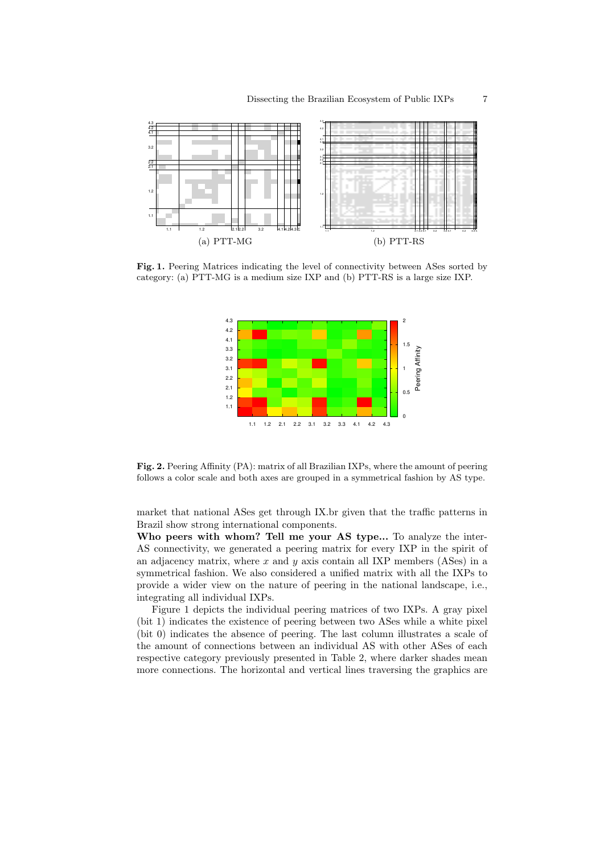

Fig. 1. Peering Matrices indicating the level of connectivity between ASes sorted by category: (a) PTT-MG is a medium size IXP and (b) PTT-RS is a large size IXP.



Fig. 2. Peering Affinity (PA): matrix of all Brazilian IXPs, where the amount of peering follows a color scale and both axes are grouped in a symmetrical fashion by AS type.

market that national ASes get through IX.br given that the traffic patterns in Brazil show strong international components.

Who peers with whom? Tell me your AS type... To analyze the inter-AS connectivity, we generated a peering matrix for every IXP in the spirit of an adjacency matrix, where  $x$  and  $y$  axis contain all IXP members (ASes) in a symmetrical fashion. We also considered a unified matrix with all the IXPs to provide a wider view on the nature of peering in the national landscape, i.e., integrating all individual IXPs.

Figure 1 depicts the individual peering matrices of two IXPs. A gray pixel (bit 1) indicates the existence of peering between two ASes while a white pixel (bit 0) indicates the absence of peering. The last column illustrates a scale of the amount of connections between an individual AS with other ASes of each respective category previously presented in Table 2, where darker shades mean more connections. The horizontal and vertical lines traversing the graphics are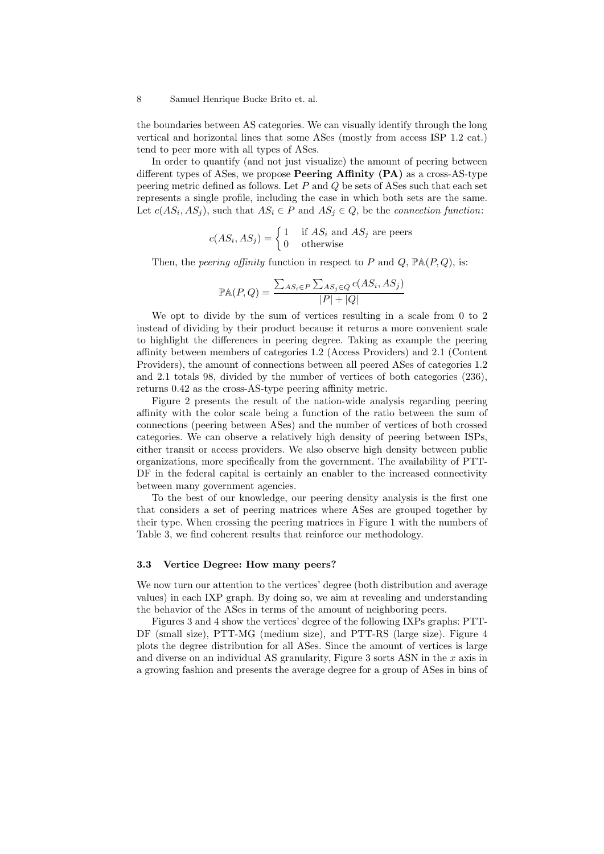the boundaries between AS categories. We can visually identify through the long vertical and horizontal lines that some ASes (mostly from access ISP 1.2 cat.) tend to peer more with all types of ASes.

In order to quantify (and not just visualize) the amount of peering between different types of ASes, we propose **Peering Affinity (PA)** as a cross-AS-type peering metric defined as follows. Let  $P$  and  $Q$  be sets of ASes such that each set represents a single profile, including the case in which both sets are the same. Let  $c(AS_i, AS_j)$ , such that  $AS_i \in P$  and  $AS_j \in Q$ , be the *connection function*:

$$
c(AS_i, AS_j) = \begin{cases} 1 & \text{if } AS_i \text{ and } AS_j \text{ are peers} \\ 0 & \text{otherwise} \end{cases}
$$

Then, the *peering affinity* function in respect to P and Q,  $\mathbb{P}\mathbb{A}(P,Q)$ , is:

$$
\mathbb{P}\mathbb{A}(P,Q) = \frac{\sum_{AS_i \in P} \sum_{AS_j \in Q} c(AS_i, AS_j)}{|P| + |Q|}
$$

We opt to divide by the sum of vertices resulting in a scale from 0 to 2 instead of dividing by their product because it returns a more convenient scale to highlight the differences in peering degree. Taking as example the peering affinity between members of categories 1.2 (Access Providers) and 2.1 (Content Providers), the amount of connections between all peered ASes of categories 1.2 and 2.1 totals 98, divided by the number of vertices of both categories (236), returns 0.42 as the cross-AS-type peering affinity metric.

Figure 2 presents the result of the nation-wide analysis regarding peering affinity with the color scale being a function of the ratio between the sum of connections (peering between ASes) and the number of vertices of both crossed categories. We can observe a relatively high density of peering between ISPs, either transit or access providers. We also observe high density between public organizations, more specifically from the government. The availability of PTT-DF in the federal capital is certainly an enabler to the increased connectivity between many government agencies.

To the best of our knowledge, our peering density analysis is the first one that considers a set of peering matrices where ASes are grouped together by their type. When crossing the peering matrices in Figure 1 with the numbers of Table 3, we find coherent results that reinforce our methodology.

## 3.3 Vertice Degree: How many peers?

We now turn our attention to the vertices' degree (both distribution and average values) in each IXP graph. By doing so, we aim at revealing and understanding the behavior of the ASes in terms of the amount of neighboring peers.

Figures 3 and 4 show the vertices' degree of the following IXPs graphs: PTT-DF (small size), PTT-MG (medium size), and PTT-RS (large size). Figure 4 plots the degree distribution for all ASes. Since the amount of vertices is large and diverse on an individual AS granularity, Figure 3 sorts ASN in the  $x$  axis in a growing fashion and presents the average degree for a group of ASes in bins of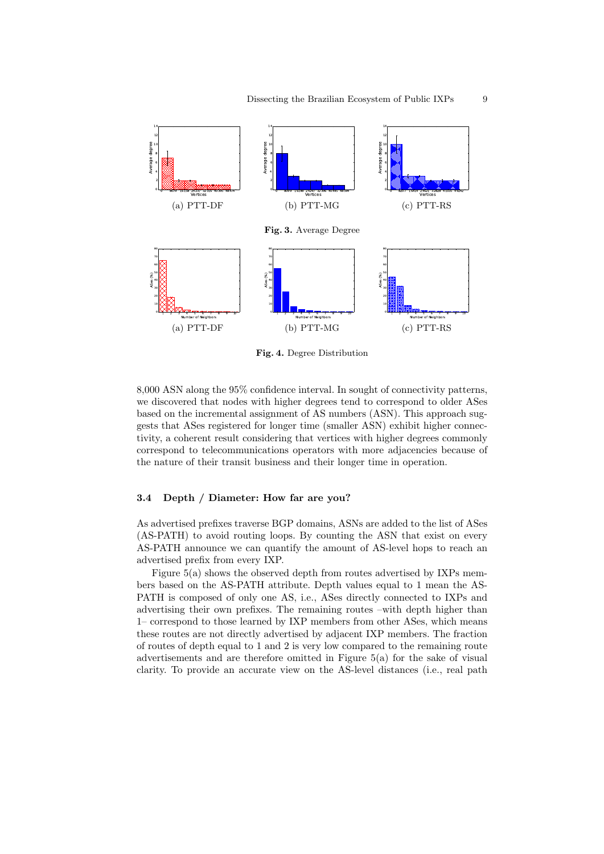

Fig. 4. Degree Distribution

8,000 ASN along the 95% confidence interval. In sought of connectivity patterns, we discovered that nodes with higher degrees tend to correspond to older ASes based on the incremental assignment of AS numbers (ASN). This approach suggests that ASes registered for longer time (smaller ASN) exhibit higher connectivity, a coherent result considering that vertices with higher degrees commonly correspond to telecommunications operators with more adjacencies because of the nature of their transit business and their longer time in operation.

### 3.4 Depth / Diameter: How far are you?

As advertised prefixes traverse BGP domains, ASNs are added to the list of ASes (AS-PATH) to avoid routing loops. By counting the ASN that exist on every AS-PATH announce we can quantify the amount of AS-level hops to reach an advertised prefix from every IXP.

Figure 5(a) shows the observed depth from routes advertised by IXPs members based on the AS-PATH attribute. Depth values equal to 1 mean the AS-PATH is composed of only one AS, i.e., ASes directly connected to IXPs and advertising their own prefixes. The remaining routes –with depth higher than 1– correspond to those learned by IXP members from other ASes, which means these routes are not directly advertised by adjacent IXP members. The fraction of routes of depth equal to 1 and 2 is very low compared to the remaining route advertisements and are therefore omitted in Figure 5(a) for the sake of visual clarity. To provide an accurate view on the AS-level distances (i.e., real path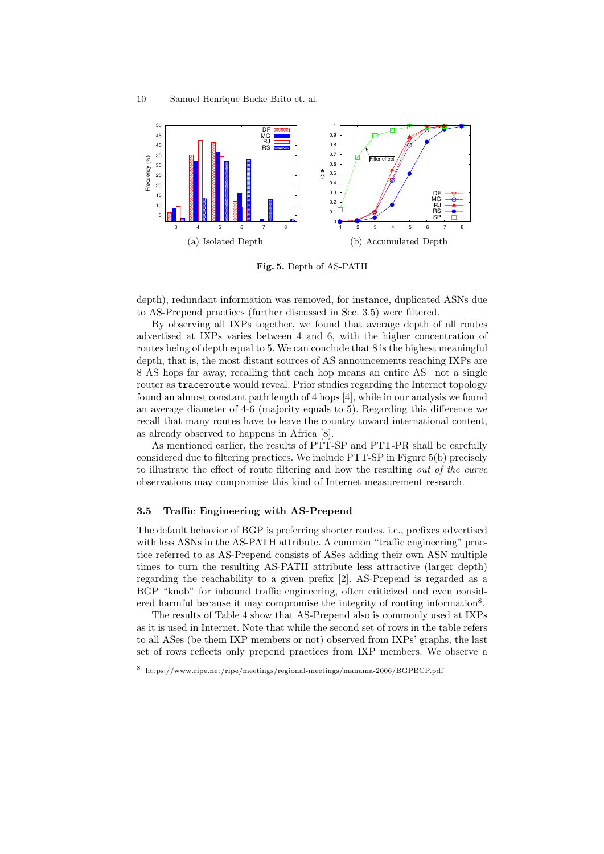

Fig. 5. Depth of AS-PATH

depth), redundant information was removed, for instance, duplicated ASNs due to AS-Prepend practices (further discussed in Sec. 3.5) were filtered.

By observing all IXPs together, we found that average depth of all routes advertised at IXPs varies between 4 and 6, with the higher concentration of routes being of depth equal to 5. We can conclude that 8 is the highest meaningful depth, that is, the most distant sources of AS announcements reaching IXPs are 8 AS hops far away, recalling that each hop means an entire AS –not a single router as traceroute would reveal. Prior studies regarding the Internet topology found an almost constant path length of 4 hops [4], while in our analysis we found an average diameter of 4-6 (majority equals to 5). Regarding this difference we recall that many routes have to leave the country toward international content, as already observed to happens in Africa [8].

As mentioned earlier, the results of PTT-SP and PTT-PR shall be carefully considered due to filtering practices. We include PTT-SP in Figure 5(b) precisely to illustrate the effect of route filtering and how the resulting out of the curve observations may compromise this kind of Internet measurement research.

### 3.5 Traffic Engineering with AS-Prepend

The default behavior of BGP is preferring shorter routes, i.e., prefixes advertised with less ASNs in the AS-PATH attribute. A common "traffic engineering" practice referred to as AS-Prepend consists of ASes adding their own ASN multiple times to turn the resulting AS-PATH attribute less attractive (larger depth) regarding the reachability to a given prefix [2]. AS-Prepend is regarded as a BGP "knob" for inbound traffic engineering, often criticized and even considered harmful because it may compromise the integrity of routing information<sup>8</sup>.

The results of Table 4 show that AS-Prepend also is commonly used at IXPs as it is used in Internet. Note that while the second set of rows in the table refers to all ASes (be them IXP members or not) observed from IXPs' graphs, the last set of rows reflects only prepend practices from IXP members. We observe a

<sup>8</sup> https://www.ripe.net/ripe/meetings/regional-meetings/manama-2006/BGPBCP.pdf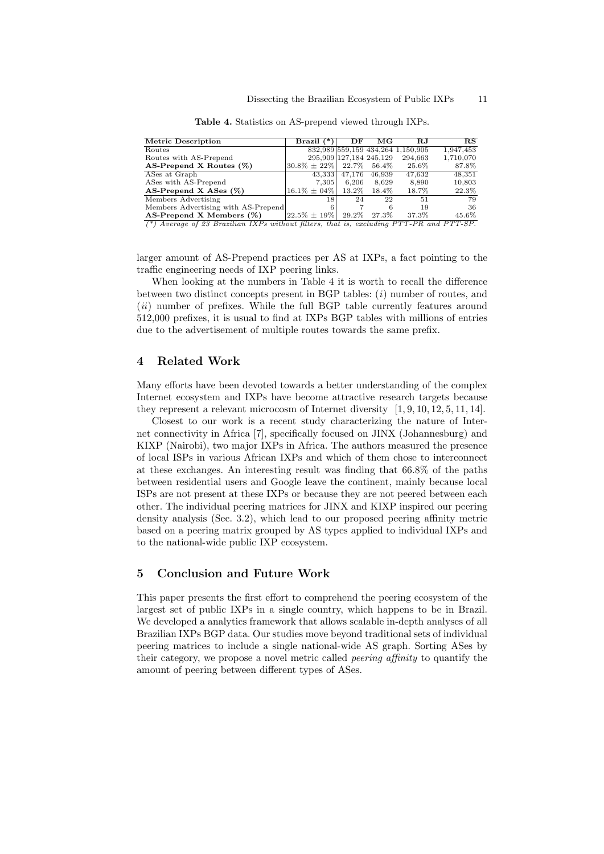| <b>Metric Description</b>           | Brazil (            | DF       | МG                      | $\mathbf{R} \mathbf{J}$           | RS        |
|-------------------------------------|---------------------|----------|-------------------------|-----------------------------------|-----------|
| Routes                              |                     |          |                         | 832,989 559,159 434,264 1,150,905 | 1,947,453 |
| Routes with AS-Prepend              |                     |          | 295,909 127,184 245,129 | 294,663                           | 1,710,070 |
| AS-Prepend X Routes $(\%)$          | $ 30.8\% \pm 22\% $ |          | 22.7\% 56.4\%           | $25.6\%$                          | 87.8%     |
| ASes at Graph                       | 43,333              | 47.176   | 46,939                  | 47,632                            | 48,351    |
| ASes with AS-Prepend                | 7.305               | 6.206    | 8.629                   | 8.890                             | 10,803    |
| AS-Prepend X ASes $(\%)$            | $16.1\% \pm 04\%$   | $13.2\%$ | $18.4\%$                | 18.7%                             | 22.3%     |
| Members Advertising                 | 18                  | 24       | 22                      | 51                                | 79        |
| Members Advertising with AS-Prepend |                     |          | 6                       | 19                                | 36        |
| AS-Prepend X Members $(\%)$         | $ 22.5\% \pm 19\% $ |          | 29.2\% 27.3\%           | 37.3%                             | 45.6%     |

Table 4. Statistics on AS-prepend viewed through IXPs.

(\*) Average of 23 Brazilian IXPs without filters, that is, excluding PTT-PR and PTT-SP.

larger amount of AS-Prepend practices per AS at IXPs, a fact pointing to the traffic engineering needs of IXP peering links.

When looking at the numbers in Table 4 it is worth to recall the difference between two distinct concepts present in BGP tables:  $(i)$  number of routes, and (*ii*) number of prefixes. While the full BGP table currently features around 512,000 prefixes, it is usual to find at IXPs BGP tables with millions of entries due to the advertisement of multiple routes towards the same prefix.

### 4 Related Work

Many efforts have been devoted towards a better understanding of the complex Internet ecosystem and IXPs have become attractive research targets because they represent a relevant microcosm of Internet diversity [1, 9, 10, 12, 5, 11, 14].

Closest to our work is a recent study characterizing the nature of Internet connectivity in Africa [7], specifically focused on JINX (Johannesburg) and KIXP (Nairobi), two major IXPs in Africa. The authors measured the presence of local ISPs in various African IXPs and which of them chose to interconnect at these exchanges. An interesting result was finding that 66.8% of the paths between residential users and Google leave the continent, mainly because local ISPs are not present at these IXPs or because they are not peered between each other. The individual peering matrices for JINX and KIXP inspired our peering density analysis (Sec. 3.2), which lead to our proposed peering affinity metric based on a peering matrix grouped by AS types applied to individual IXPs and to the national-wide public IXP ecosystem.

# 5 Conclusion and Future Work

This paper presents the first effort to comprehend the peering ecosystem of the largest set of public IXPs in a single country, which happens to be in Brazil. We developed a analytics framework that allows scalable in-depth analyses of all Brazilian IXPs BGP data. Our studies move beyond traditional sets of individual peering matrices to include a single national-wide AS graph. Sorting ASes by their category, we propose a novel metric called peering affinity to quantify the amount of peering between different types of ASes.